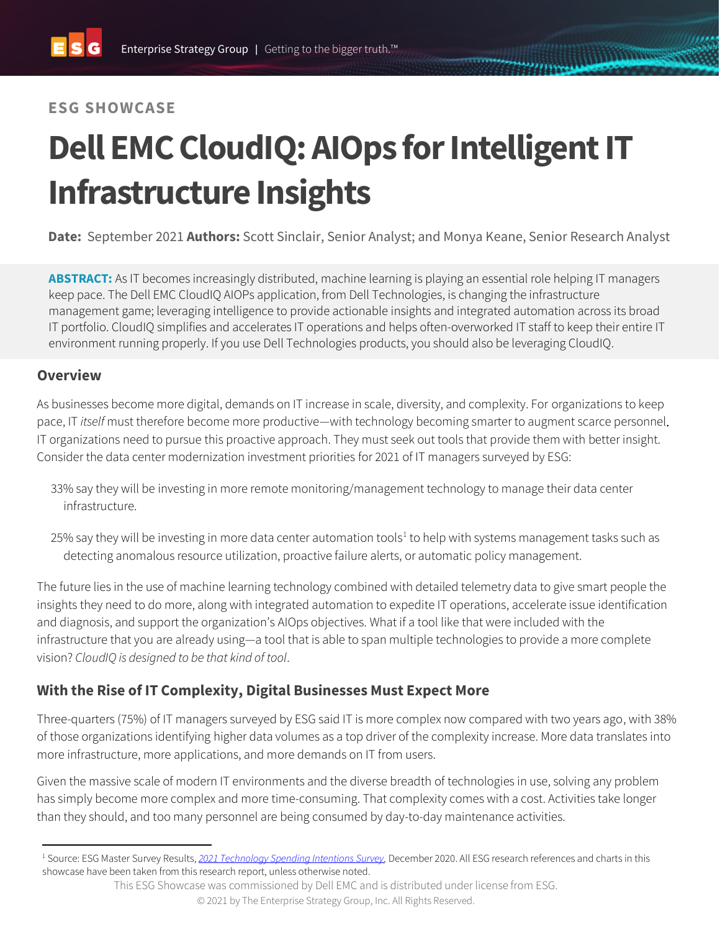## **ESG SHOWCASE**

# **Dell EMC CloudIQ: AIOps for Intelligent IT Infrastructure Insights**

**Date:** September 2021 **Authors:** Scott Sinclair, Senior Analyst; and Monya Keane, Senior Research Analyst

**ABSTRACT:** As IT becomes increasingly distributed, machine learning is playing an essential role helping IT managers keep pace. The Dell EMC CloudIQ AIOPs application, from Dell Technologies, is changing the infrastructure management game; leveraging intelligence to provide actionable insights and integrated automation across its broad IT portfolio. CloudIQ simplifies and accelerates IT operations and helps often-overworked IT staff to keep their entire IT environment running properly. If you use Dell Technologies products, you should also be leveraging CloudIQ.

#### **Overview**

As businesses become more digital, demands on IT increase in scale, diversity, and complexity. For organizations to keep pace, IT *itself* must therefore become more productive—with technology becoming smarter to augment scarce personnel. IT organizations need to pursue this proactive approach. They must seek out tools that provide them with better insight. Consider the data center modernization investment priorities for 2021 of IT managers surveyed by ESG:

- 33% say they will be investing in more remote monitoring/management technology to manage their data center infrastructure.
- 25% say they will be investing in more data center automation tools<sup>1</sup> to help with systems management tasks such as detecting anomalous resource utilization, proactive failure alerts, or automatic policy management.

The future lies in the use of machine learning technology combined with detailed telemetry data to give smart people the insights they need to do more, along with integrated automation to expedite IT operations, accelerate issue identification and diagnosis, and support the organization's AIOps objectives. What if a tool like that were included with the infrastructure that you are already using—a tool that is able to span multiple technologies to provide a more complete vision? *[CloudIQ](https://www.delltechnologies.com/en-us/storage/cloudiq.htm) is designed to be that kind of tool*.

## **With the Rise of IT Complexity, Digital Businesses Must Expect More**

Three-quarters (75%) of IT managers surveyed by ESG said IT is more complex now compared with two years ago, with 38% of those organizations identifying higher data volumes as a top driver of the complexity increase. More data translates into more infrastructure, more applications, and more demands on IT from users.

Given the massive scale of modern IT environments and the diverse breadth of technologies in use, solving any problem has simply become more complex and more time-consuming. That complexity comes with a cost. Activities take longer than they should, and too many personnel are being consumed by day-to-day maintenance activities.

<sup>1</sup> Source: ESG Master Survey Results, *[2021 Technology Spending Intentions Survey,](https://research.esg-global.com/reportaction/MSR2021SpendingIntentionsDec2020/Toc)* December 2020. All ESG research references and charts in this showcase have been taken from this research report, unless otherwise noted.

This ESG Showcase was commissioned by Dell EMC and is distributed under license from ESG.

<sup>© 2021</sup> by The Enterprise Strategy Group, Inc. All Rights Reserved.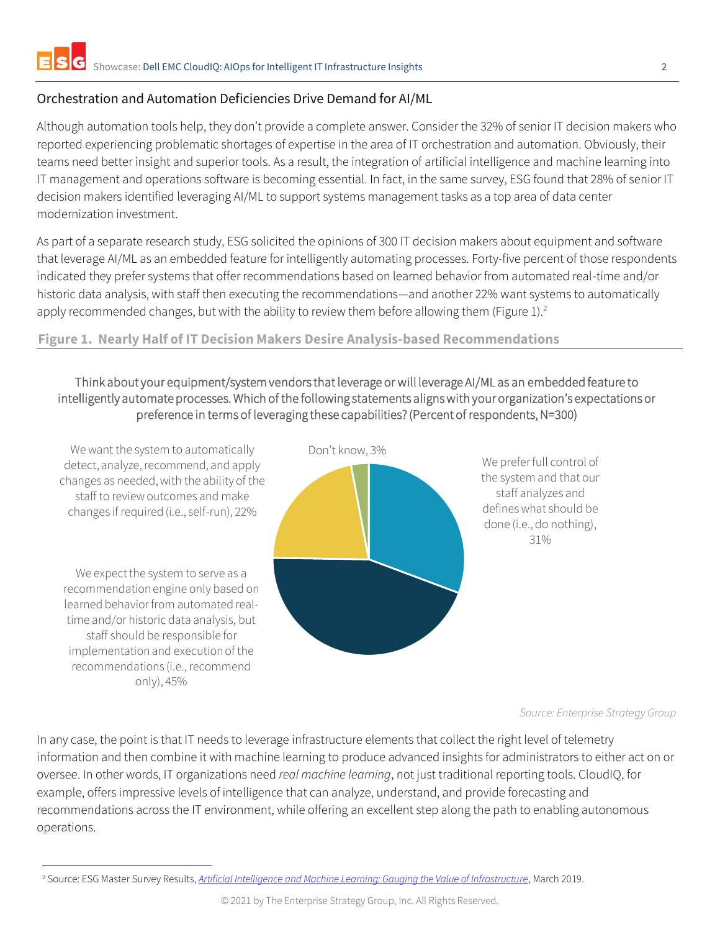#### Orchestration and Automation Deficiencies Drive Demand for AI/ML

Although automation tools help, they don't provide a complete answer. Consider the 32% of senior IT decision makers who reported experiencing problematic shortages of expertise in the area of IT orchestration and automation. Obviously, their teams need better insight and superior tools. As a result, the integration of artificial intelligence and machine learning into IT management and operations software is becoming essential. In fact, in the same survey, ESG found that 28% of senior IT decision makers identified leveraging AI/ML to support systems management tasks as a top area of data center modernization investment.

As part of a separate research study, ESG solicited the opinions of 300 IT decision makers about equipment and software that leverage AI/ML as an embedded feature for intelligently automating processes. Forty-five percent of those respondents indicated they prefer systems that offer recommendations based on learned behavior from automated real-time and/or historic data analysis, with staff then executing the recommendations—and another 22% want systems to automatically apply recommended changes, but with the ability to review them before allowing them (Figure 1).<sup>2</sup>

#### **Figure 1. Nearly Half of IT Decision Makers Desire Analysis-based Recommendations**

#### Think about your equipment/system vendors that leverage or will leverage AI/ML as an embedded feature to intelligently automate processes. Which of the following statements aligns with your organization's expectations or preference in terms of leveraging these capabilities? (Percent of respondents, N=300)



*Source: Enterprise Strategy Group*

In any case, the point is that IT needs to leverage infrastructure elements that collect the right level of telemetry information and then combine it with machine learning to produce advanced insights for administrators to either act on or oversee. In other words, IT organizations need *real machine learning*, not just traditional reporting tools. CloudIQ, for example, offers impressive levels of intelligence that can analyze, understand, and provide forecasting and recommendations across the IT environment, while offering an excellent step along the path to enabling autonomous operations.

<sup>2</sup> Source: ESG Master Survey Results, *[Artificial Intelligence and Machine Learning: Gauging the Value of Infrastructure](https://research.esg-global.com/reportaction/aimlmsr/Toc)*, March 2019.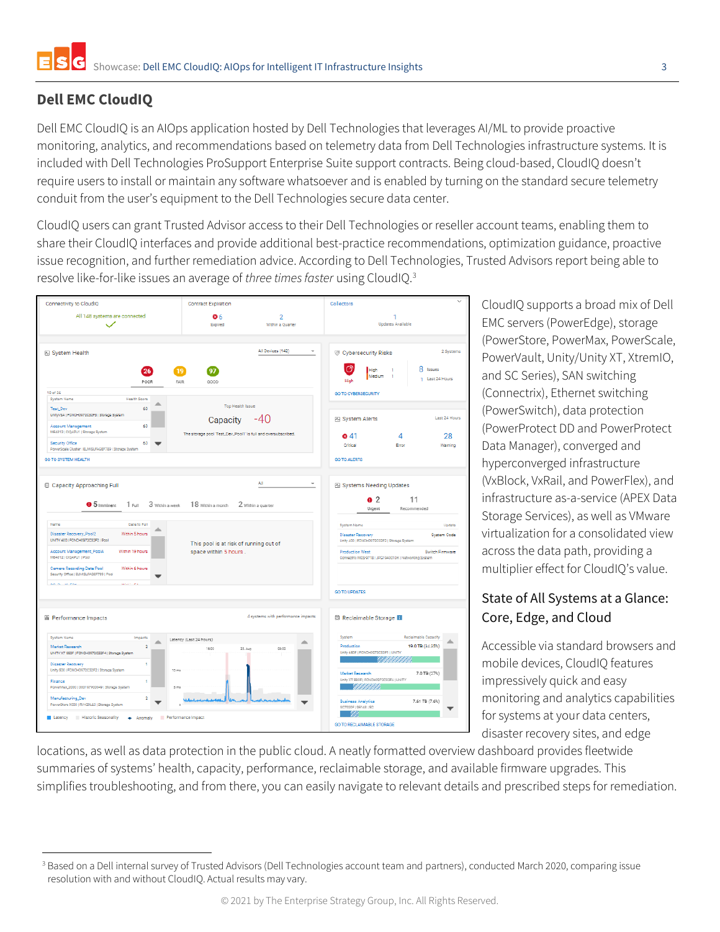## **Dell EMC CloudIQ**

Dell EMC CloudIQ is an AIOps application hosted by Dell Technologies that leverages AI/ML to provide proactive monitoring, analytics, and recommendations based on telemetry data from Dell Technologies infrastructure systems. It is included with Dell Technologies ProSupport Enterprise Suite support contracts. Being cloud-based, CloudIQ doesn't require users to install or maintain any software whatsoever and is enabled by turning on the standard secure telemetry conduit from the user's equipment to the Dell Technologies secure data center.

CloudIQ users can grant Trusted Advisor access to their Dell Technologies or reseller account teams, enabling them to share their CloudIQ interfaces and provide additional best-practice recommendations, optimization guidance, proactive issue recognition, and further remediation advice. According to Dell Technologies, Trusted Advisors report being able to resolve like-for-like issues an average of *three times faster* using CloudIQ.<sup>3</sup>



CloudIQ supports a broad mix of Dell EMC servers (PowerEdge), storage (PowerStore, PowerMax, PowerScale, PowerVault, Unity/Unity XT, XtremIO, and SC Series), SAN switching (Connectrix), Ethernet switching (PowerSwitch), data protection (PowerProtect DD and PowerProtect Data Manager), converged and hyperconverged infrastructure (VxBlock, VxRail, and PowerFlex), and infrastructure as-a-service (APEX Data Storage Services), as well as VMware virtualization for a consolidated view across the data path, providing a multiplier effect for CloudIQ's value.

### State of All Systems at a Glance: Core, Edge, and Cloud

Accessible via standard browsers and mobile devices, CloudIQ features impressively quick and easy monitoring and analytics capabilities for systems at your data centers, disaster recovery sites, and edge

locations, as well as data protection in the public cloud. A neatly formatted overview dashboard provides fleetwide summaries of systems' health, capacity, performance, reclaimable storage, and available firmware upgrades. This simplifies troubleshooting, and from there, you can easily navigate to relevant details and prescribed steps for remediation.

<sup>&</sup>lt;sup>3</sup> Based on a Dell internal survey of Trusted Advisors (Dell Technologies account team and partners), conducted March 2020, comparing issue resolution with and without CloudIQ. Actual results may vary.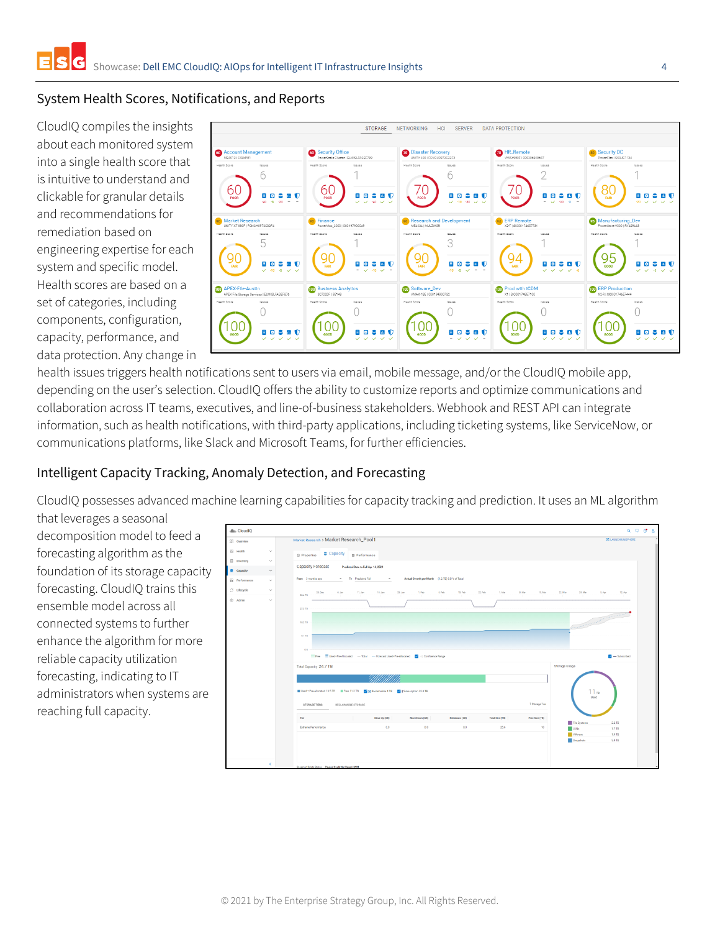#### System Health Scores, Notifications, and Reports

CloudIQ compiles the insights about each monitored system into a single health score that is intuitive to understand and clickable for granular details and recommendations for remediation based on engineering expertise for each system and specific model. Health scores are based on a set of categories, including components, configuration, capacity, performance, and data protection. Any change in



health issues triggers health notifications sent to users via email, mobile message, and/or the CloudIQ mobile app, depending on the user's selection. CloudIQ offers the ability to customize reports and optimize communications and collaboration across IT teams, executives, and line-of-business stakeholders. Webhook and REST API can integrate information, such as health notifications, with third-party applications, including ticketing systems, like ServiceNow, or communications platforms, like Slack and Microsoft Teams, for further efficiencies.

#### Intelligent Capacity Tracking, Anomaly Detection, and Forecasting

CloudIQ possesses advanced machine learning capabilities for capacity tracking and prediction. It uses an ML algorithm that leverages a seasonal

decomposition model to feed a forecasting algorithm as the foundation of its storage capacity forecasting. CloudIQ trains this ensemble model across all connected systems to further enhance the algorithm for more reliable capacity utilization forecasting, indicating to IT administrators when systems are reaching full capacity.

| dlh CloudIQ                        |                                                                                                                                                                                                                                                                                                                                                                                                                                                                                                                                                                                                                                                                     |  |
|------------------------------------|---------------------------------------------------------------------------------------------------------------------------------------------------------------------------------------------------------------------------------------------------------------------------------------------------------------------------------------------------------------------------------------------------------------------------------------------------------------------------------------------------------------------------------------------------------------------------------------------------------------------------------------------------------------------|--|
| <b>SS</b> Overview                 | Market Research > Market Research_Pool1<br><b>Z LAUNCH UNISPHERE</b>                                                                                                                                                                                                                                                                                                                                                                                                                                                                                                                                                                                                |  |
| E Health<br>$\searrow$             | Capacity   B Performance<br><b>D</b> Properties                                                                                                                                                                                                                                                                                                                                                                                                                                                                                                                                                                                                                     |  |
| <b>El</b> Inventory<br>$\searrow$  | <b>Capacity Forecast</b><br>Predicted Date to Full Apr 14, 2021                                                                                                                                                                                                                                                                                                                                                                                                                                                                                                                                                                                                     |  |
| Capacity<br>$\checkmark$           |                                                                                                                                                                                                                                                                                                                                                                                                                                                                                                                                                                                                                                                                     |  |
| <b>Performance</b><br>$\checkmark$ | Actual Growth per Month (1.2 TB) 5.0 % of Total<br>To Predicted Full<br>From 3 months ago<br>$_{\rm w}$<br>$\scriptstyle\rm w$                                                                                                                                                                                                                                                                                                                                                                                                                                                                                                                                      |  |
| C Lifecycle<br>$\checkmark$        | 4.00<br>11. Jan.<br>18.Jan<br>1. Peb<br>a.reb<br>15. Feb<br>22. Feb<br>1. Mar<br>0.Mm<br>15.Mm<br>22. Mar<br>29. Mar<br>12.Apr<br>28.0ec<br>23. Jan<br>5. Apr<br>26.4 TD                                                                                                                                                                                                                                                                                                                                                                                                                                                                                            |  |
| Admin<br>$\checkmark$              | 27.3 TB<br><b>Communication of the Communication</b><br>18.2 TB<br>9.1778<br>0.8<br>Free Used Pre-Allocated - Total - Forecast Used Pre-Allocated V - Confidence Range<br>$-$ Subscribed<br>Storage Usage<br>Total Capacity 24.7 TB<br>11 <sub>18</sub><br>Used + Pre-Allocated 13.5 TB Erre 11.2 TB V 3 Reclaimable 4 TB V   Subscription 32.8 TB<br>Used<br>1 Storage Tier<br>STORAGE TIERS<br>RECLAIMABLE STORAGE<br>Tier<br>Move Up (GB)<br>Total Size (TB)<br>Move Down (GB)<br>Rebalance (GE)<br>Free Size (TB)<br><b>File Systems</b><br>2.2 TB<br>0.0<br><b>Extreme Performance</b><br>0.0<br>0.0<br>25.6<br>10<br>U.186<br>1.7 TB<br><b>Mage</b><br>1.9 TB |  |
| $\left\langle \right\rangle$       | Snapshots<br>S.4 TB<br>Snapshot Delete Status Paused Could Not Reach HWM                                                                                                                                                                                                                                                                                                                                                                                                                                                                                                                                                                                            |  |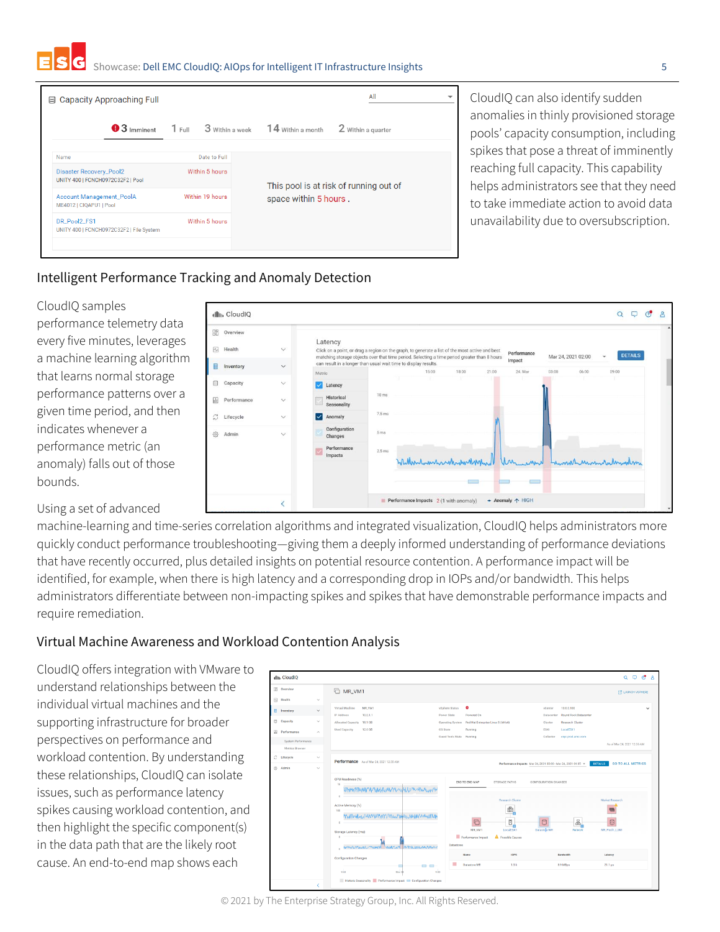Showcase: Dell EMC CloudIQ: AIOps for Intelligent IT Infrastructure Insights 5

| 目                                                                   | <b>Capacity Approaching Full</b>         |                 |                |                                                                 | All                |  |
|---------------------------------------------------------------------|------------------------------------------|-----------------|----------------|-----------------------------------------------------------------|--------------------|--|
|                                                                     | $\bullet$ 3 Imminent                     | $1$ Full        |                | $3$ Within a week $14$ Within a month                           | 2 Within a quarter |  |
| Name                                                                |                                          |                 | Date to Full   |                                                                 |                    |  |
| <b>Disaster Recovery_Pool2</b><br>UNITY 400   FCNCH0972C32F2   Pool |                                          |                 | Within 5 hours |                                                                 |                    |  |
| <b>Account Management_PoolA</b><br>ME4012   CIQAPU1   Pool          |                                          | Within 19 hours |                | This pool is at risk of running out of<br>space within 5 hours. |                    |  |
| DR_Pool2_FS1                                                        | UNITY 400   FCNCH0972C32F2   File System |                 | Within 5 hours |                                                                 |                    |  |

CloudIQ can also identify sudden anomalies in thinly provisioned storage pools' capacity consumption, including spikes that pose a threat of imminently reaching full capacity. This capability helps administrators see that they need to take immediate action to avoid data unavailability due to oversubscription.

Mar 24 2021 02:00

24 Ma

← Anomaly 个 HIGH

#### Intelligent Performance Tracking and Anomaly Detection

dllin CloudIQ **品** Overview

Inventory

 $\overline{\phantom{a}}$ 

FW. Health

₿ Capacity a. Performanc Lifecycle Admir

#### CloudIQ samples

performance telemetry data every five minutes, leverages a machine learning algorithm that learns normal storage performance patterns over a given time period, and then indicates whenever a performance metric (an anomaly) falls out of those bounds.

Using a set of advanced

machine-learning and time-series correlation algorithms and integrated visualization, CloudIQ helps administrators more quickly conduct performance troubleshooting—giving them a deeply informed understanding of performance deviations that have recently occurred, plus detailed insights on potential resource contention. A performance impact will be identified, for example, when there is high latency and a corresponding drop in IOPs and/or bandwidth. This helps administrators differentiate between non-impacting spikes and spikes that have demonstrable performance impacts and require remediation.

Latency Click on a p

#### Virtual Machine Awareness and Workload Contention Analysis

CloudIQ offers integration with VMware to understand relationships between the individual virtual machines and the supporting infrastructure for broader perspectives on performance and workload contention. By understanding these relationships, CloudIQ can isolate issues, such as performance latency spikes causing workload contention, and then highlight the specific component(s) in the data path that are the likely root cause. An end-to-end map shows each



Performance Impacts 2 (1 with anomaly)

 $Q \quad \Box \quad Q' \quad g$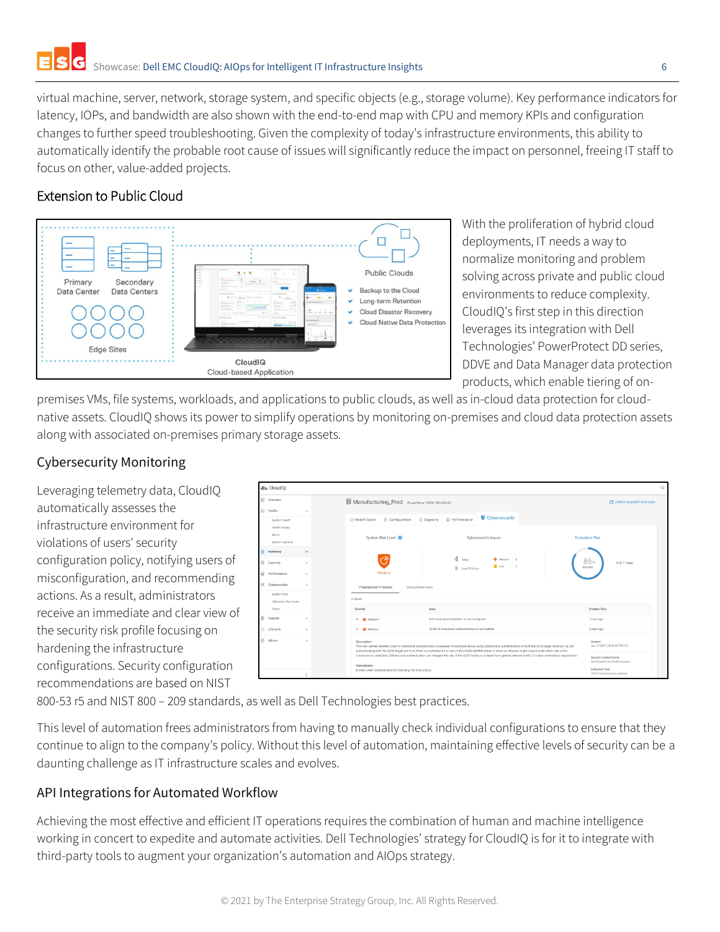virtual machine, server, network, storage system, and specific objects (e.g., storage volume). Key performance indicators for latency, IOPs, and bandwidth are also shown with the end-to-end map with CPU and memory KPIs and configuration changes to further speed troubleshooting. Given the complexity of today's infrastructure environments, this ability to automatically identify the probable root cause of issues will significantly reduce the impact on personnel, freeing IT staff to focus on other, value-added projects.

## Extension to Public Cloud



With the proliferation of hybrid cloud deployments, IT needs a way to normalize monitoring and problem solving across private and public cloud environments to reduce complexity. CloudIQ's first step in this direction leverages its integration with Dell Technologies' PowerProtect DD series, DDVE and Data Manager data protection products, which enable tiering of on-

premises VMs, file systems, workloads, and applications to public clouds, as well as in-cloud data protection for cloudnative assets. CloudIQ shows its power to simplify operations by monitoring on-premises and cloud data protection assets along with associated on-premises primary storage assets.

#### Cybersecurity Monitoring

Leveraging telemetry data, CloudIQ automatically assesses the infrastructure environment for violations of users' security configuration policy, notifying users of misconfiguration, and recommending actions. As a result, administrators receive an immediate and clear view of the security risk profile focusing on hardening the infrastructure configurations. Security configuration recommendations are based on NIST



800-53 r5 and NIST 800 – 209 standards, as well as Dell Technologies best practices.

This level of automation frees administrators from having to manually check individual configurations to ensure that they continue to align to the company's policy. Without this level of automation, maintaining effective levels of security can be a daunting challenge as IT infrastructure scales and evolves.

### API Integrations for Automated Workflow

Achieving the most effective and efficient IT operations requires the combination of human and machine intelligence working in concert to expedite and automate activities. Dell Technologies' strategy for CloudIQ is for it to integrate with third-party tools to augment your organization's automation and AIOps strategy.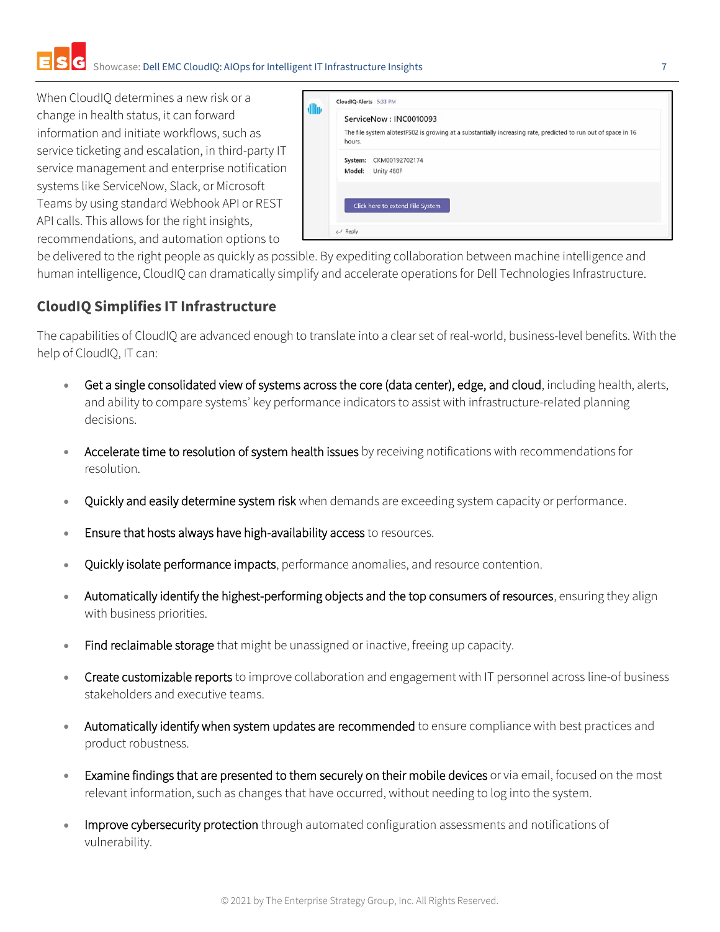When CloudIQ determines a new risk or a change in health status, it can forward information and initiate workflows, such as service ticketing and escalation, in third-party IT service management and enterprise notification systems like ServiceNow, Slack, or Microsoft Teams by using standard Webhook API or REST API calls. This allows for the right insights, recommendations, and automation options to

|         | ServiceNow: INC0010093                                                                                         |
|---------|----------------------------------------------------------------------------------------------------------------|
| hours.  | The file system albtestFS02 is growing at a substantially increasing rate, predicted to run out of space in 16 |
| System: | CKM00192702174                                                                                                 |
| Model:  | Unity 480F                                                                                                     |
|         |                                                                                                                |
|         | Click here to extend File System                                                                               |

be delivered to the right people as quickly as possible. By expediting collaboration between machine intelligence and human intelligence, CloudIQ can dramatically simplify and accelerate operations for Dell Technologies Infrastructure.

## **CloudIQ Simplifies IT Infrastructure**

The capabilities of CloudIQ are advanced enough to translate into a clear set of real-world, business-level benefits. With the help of CloudIQ, IT can:

- Get a single consolidated view of systems across the core (data center), edge, and cloud, including health, alerts, and ability to compare systems' key performance indicators to assist with infrastructure-related planning decisions.
- Accelerate time to resolution of system health issues by receiving notifications with recommendations for resolution.
- Quickly and easily determine system risk when demands are exceeding system capacity or performance.
- Ensure that hosts always have high-availability access to resources.
- Quickly isolate performance impacts, performance anomalies, and resource contention.
- Automatically identify the highest-performing objects and the top consumers of resources, ensuring they align with business priorities.
- Find reclaimable storage that might be unassigned or inactive, freeing up capacity.
- Create customizable reports to improve collaboration and engagement with IT personnel across line-of business stakeholders and executive teams.
- Automatically identify when system updates are recommended to ensure compliance with best practices and product robustness.
- Examine findings that are presented to them securely on their mobile devices or via email, focused on the most relevant information, such as changes that have occurred, without needing to log into the system.
- Improve cybersecurity protection through automated configuration assessments and notifications of vulnerability.